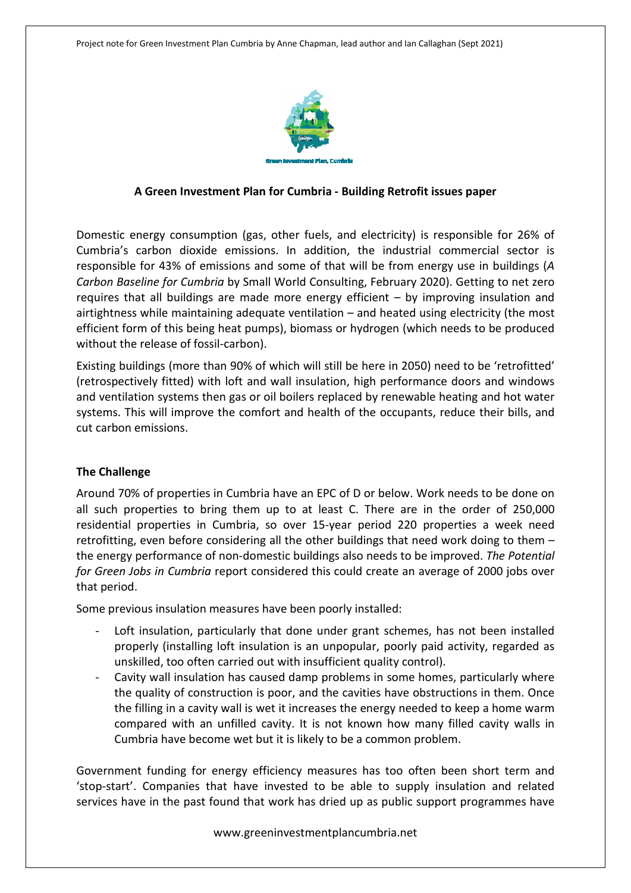

#### **A Green Investment Plan for Cumbria - Building Retrofit issues paper**

Domestic energy consumption (gas, other fuels, and electricity) is responsible for 26% of Cumbria's carbon dioxide emissions. In addition, the industrial commercial sector is responsible for 43% of emissions and some of that will be from energy use in buildings (*A Carbon Baseline for Cumbria* by Small World Consulting, February 2020). Getting to net zero requires that all buildings are made more energy efficient – by improving insulation and airtightness while maintaining adequate ventilation – and heated using electricity (the most efficient form of this being heat pumps), biomass or hydrogen (which needs to be produced without the release of fossil-carbon).

Existing buildings (more than 90% of which will still be here in 2050) need to be 'retrofitted' (retrospectively fitted) with loft and wall insulation, high performance doors and windows and ventilation systems then gas or oil boilers replaced by renewable heating and hot water systems. This will improve the comfort and health of the occupants, reduce their bills, and cut carbon emissions.

#### **The Challenge**

Around 70% of properties in Cumbria have an EPC of D or below. Work needs to be done on all such properties to bring them up to at least C. There are in the order of 250,000 residential properties in Cumbria, so over 15-year period 220 properties a week need retrofitting, even before considering all the other buildings that need work doing to them – the energy performance of non-domestic buildings also needs to be improved. *The Potential for Green Jobs in Cumbria* report considered this could create an average of 2000 jobs over that period.

Some previous insulation measures have been poorly installed:

- Loft insulation, particularly that done under grant schemes, has not been installed properly (installing loft insulation is an unpopular, poorly paid activity, regarded as unskilled, too often carried out with insufficient quality control).
- Cavity wall insulation has caused damp problems in some homes, particularly where the quality of construction is poor, and the cavities have obstructions in them. Once the filling in a cavity wall is wet it increases the energy needed to keep a home warm compared with an unfilled cavity. It is not known how many filled cavity walls in Cumbria have become wet but it is likely to be a common problem.

Government funding for energy efficiency measures has too often been short term and 'stop-start'. Companies that have invested to be able to supply insulation and related services have in the past found that work has dried up as public support programmes have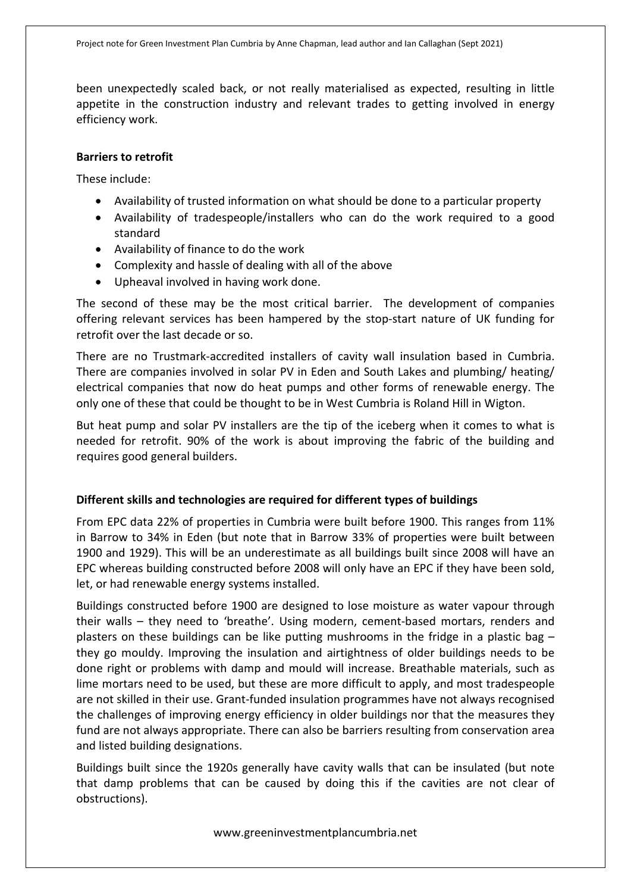been unexpectedly scaled back, or not really materialised as expected, resulting in little appetite in the construction industry and relevant trades to getting involved in energy efficiency work.

#### **Barriers to retrofit**

These include:

- Availability of trusted information on what should be done to a particular property
- Availability of tradespeople/installers who can do the work required to a good standard
- Availability of finance to do the work
- Complexity and hassle of dealing with all of the above
- Upheaval involved in having work done.

The second of these may be the most critical barrier. The development of companies offering relevant services has been hampered by the stop-start nature of UK funding for retrofit over the last decade or so.

There are no Trustmark-accredited installers of cavity wall insulation based in Cumbria. There are companies involved in solar PV in Eden and South Lakes and plumbing/ heating/ electrical companies that now do heat pumps and other forms of renewable energy. The only one of these that could be thought to be in West Cumbria is Roland Hill in Wigton.

But heat pump and solar PV installers are the tip of the iceberg when it comes to what is needed for retrofit. 90% of the work is about improving the fabric of the building and requires good general builders.

# **Different skills and technologies are required for different types of buildings**

From EPC data 22% of properties in Cumbria were built before 1900. This ranges from 11% in Barrow to 34% in Eden (but note that in Barrow 33% of properties were built between 1900 and 1929). This will be an underestimate as all buildings built since 2008 will have an EPC whereas building constructed before 2008 will only have an EPC if they have been sold, let, or had renewable energy systems installed.

Buildings constructed before 1900 are designed to lose moisture as water vapour through their walls – they need to 'breathe'. Using modern, cement-based mortars, renders and plasters on these buildings can be like putting mushrooms in the fridge in a plastic bag – they go mouldy. Improving the insulation and airtightness of older buildings needs to be done right or problems with damp and mould will increase. Breathable materials, such as lime mortars need to be used, but these are more difficult to apply, and most tradespeople are not skilled in their use. Grant-funded insulation programmes have not always recognised the challenges of improving energy efficiency in older buildings nor that the measures they fund are not always appropriate. There can also be barriers resulting from conservation area and listed building designations.

Buildings built since the 1920s generally have cavity walls that can be insulated (but note that damp problems that can be caused by doing this if the cavities are not clear of obstructions).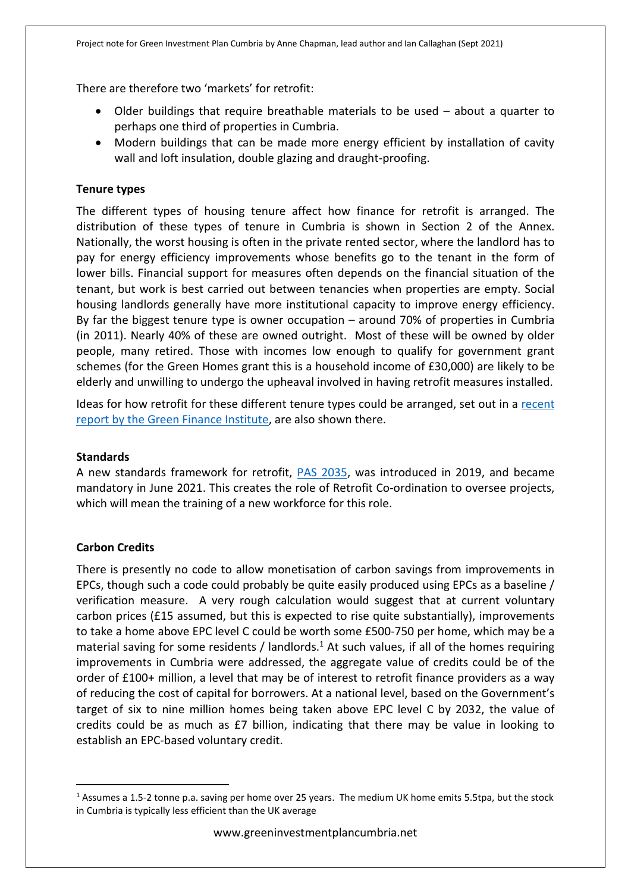There are therefore two 'markets' for retrofit:

- Older buildings that require breathable materials to be used about a quarter to perhaps one third of properties in Cumbria.
- Modern buildings that can be made more energy efficient by installation of cavity wall and loft insulation, double glazing and draught-proofing.

# **Tenure types**

The different types of housing tenure affect how finance for retrofit is arranged. The distribution of these types of tenure in Cumbria is shown in Section 2 of the Annex. Nationally, the worst housing is often in the private rented sector, where the landlord has to pay for energy efficiency improvements whose benefits go to the tenant in the form of lower bills. Financial support for measures often depends on the financial situation of the tenant, but work is best carried out between tenancies when properties are empty. Social housing landlords generally have more institutional capacity to improve energy efficiency. By far the biggest tenure type is owner occupation – around 70% of properties in Cumbria (in 2011). Nearly 40% of these are owned outright. Most of these will be owned by older people, many retired. Those with incomes low enough to qualify for government grant schemes (for the Green Homes grant this is a household income of £30,000) are likely to be elderly and unwilling to undergo the upheaval involved in having retrofit measures installed.

Ideas for how retrofit for these different tenure types could be arranged, set out in a recent report by the Green Finance Institute, are also shown there.

# **Standards**

A new standards framework for retrofit, PAS 2035, was introduced in 2019, and became mandatory in June 2021. This creates the role of Retrofit Co-ordination to oversee projects, which will mean the training of a new workforce for this role.

# **Carbon Credits**

There is presently no code to allow monetisation of carbon savings from improvements in EPCs, though such a code could probably be quite easily produced using EPCs as a baseline / verification measure. A very rough calculation would suggest that at current voluntary carbon prices (£15 assumed, but this is expected to rise quite substantially), improvements to take a home above EPC level C could be worth some £500-750 per home, which may be a material saving for some residents / landlords. $<sup>1</sup>$  At such values, if all of the homes requiring</sup> improvements in Cumbria were addressed, the aggregate value of credits could be of the order of £100+ million, a level that may be of interest to retrofit finance providers as a way of reducing the cost of capital for borrowers. At a national level, based on the Government's target of six to nine million homes being taken above EPC level C by 2032, the value of credits could be as much as £7 billion, indicating that there may be value in looking to establish an EPC-based voluntary credit.

<sup>&</sup>lt;sup>1</sup> Assumes a 1.5-2 tonne p.a. saving per home over 25 years. The medium UK home emits 5.5tpa, but the stock in Cumbria is typically less efficient than the UK average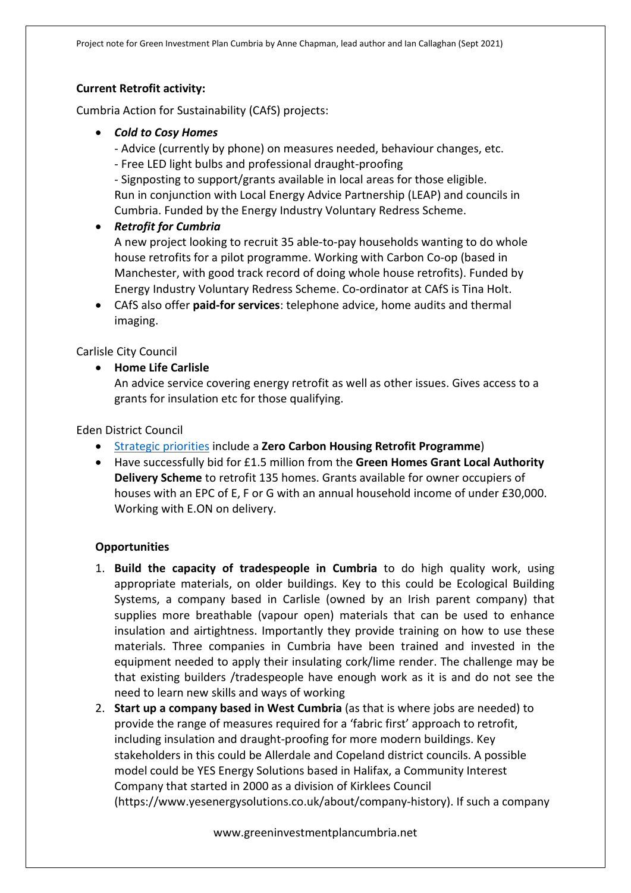#### **Current Retrofit activity:**

Cumbria Action for Sustainability (CAfS) projects:

- *Cold to Cosy Homes* 
	- Advice (currently by phone) on measures needed, behaviour changes, etc.
	- Free LED light bulbs and professional draught-proofing

- Signposting to support/grants available in local areas for those eligible. Run in conjunction with Local Energy Advice Partnership (LEAP) and councils in Cumbria. Funded by the Energy Industry Voluntary Redress Scheme.

*Retrofit for Cumbria* 

A new project looking to recruit 35 able-to-pay households wanting to do whole house retrofits for a pilot programme. Working with Carbon Co-op (based in Manchester, with good track record of doing whole house retrofits). Funded by Energy Industry Voluntary Redress Scheme. Co-ordinator at CAfS is Tina Holt.

 CAfS also offer **paid-for services**: telephone advice, home audits and thermal imaging.

Carlisle City Council

**Home Life Carlisle**

An advice service covering energy retrofit as well as other issues. Gives access to a grants for insulation etc for those qualifying.

Eden District Council

- Strategic priorities include a **Zero Carbon Housing Retrofit Programme**)
- Have successfully bid for £1.5 million from the **Green Homes Grant Local Authority Delivery Scheme** to retrofit 135 homes. Grants available for owner occupiers of houses with an EPC of E, F or G with an annual household income of under £30,000. Working with E.ON on delivery.

#### **Opportunities**

- 1. **Build the capacity of tradespeople in Cumbria** to do high quality work, using appropriate materials, on older buildings. Key to this could be Ecological Building Systems, a company based in Carlisle (owned by an Irish parent company) that supplies more breathable (vapour open) materials that can be used to enhance insulation and airtightness. Importantly they provide training on how to use these materials. Three companies in Cumbria have been trained and invested in the equipment needed to apply their insulating cork/lime render. The challenge may be that existing builders /tradespeople have enough work as it is and do not see the need to learn new skills and ways of working
- 2. **Start up a company based in West Cumbria** (as that is where jobs are needed) to provide the range of measures required for a 'fabric first' approach to retrofit, including insulation and draught-proofing for more modern buildings. Key stakeholders in this could be Allerdale and Copeland district councils. A possible model could be YES Energy Solutions based in Halifax, a Community Interest Company that started in 2000 as a division of Kirklees Council (https://www.yesenergysolutions.co.uk/about/company-history). If such a company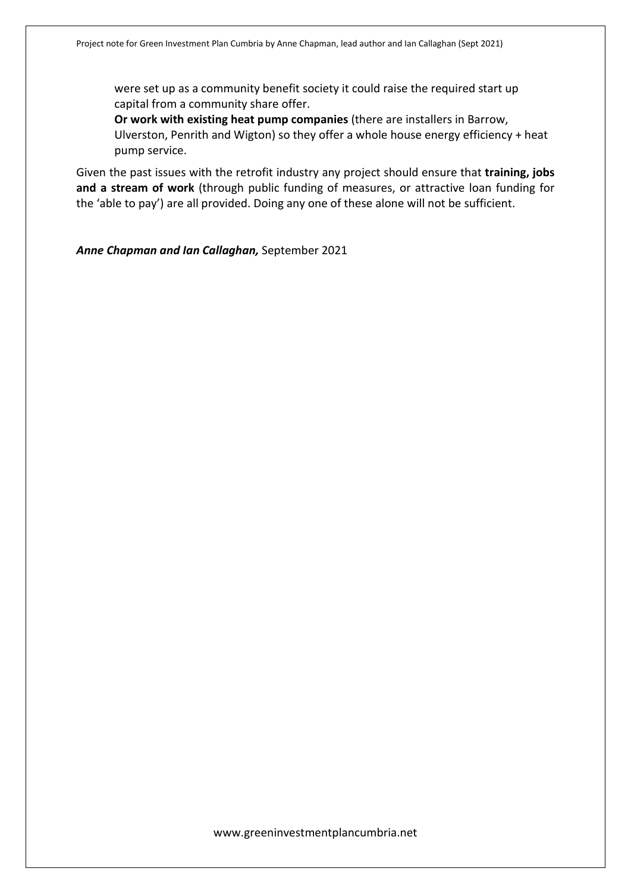were set up as a community benefit society it could raise the required start up capital from a community share offer.

**Or work with existing heat pump companies** (there are installers in Barrow, Ulverston, Penrith and Wigton) so they offer a whole house energy efficiency + heat pump service.

Given the past issues with the retrofit industry any project should ensure that **training, jobs and a stream of work** (through public funding of measures, or attractive loan funding for the 'able to pay') are all provided. Doing any one of these alone will not be sufficient.

*Anne Chapman and Ian Callaghan,* September 2021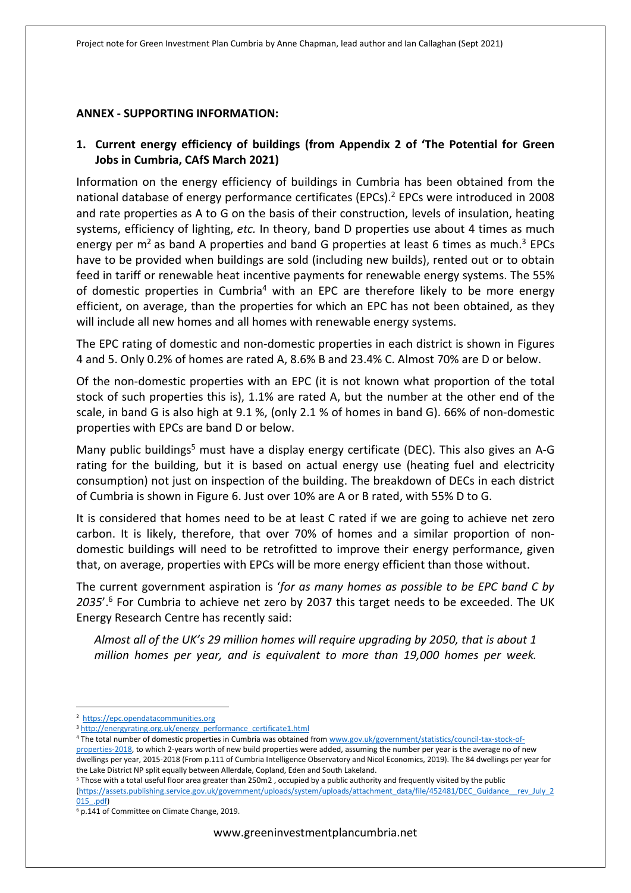#### **ANNEX - SUPPORTING INFORMATION:**

# **1. Current energy efficiency of buildings (from Appendix 2 of 'The Potential for Green Jobs in Cumbria, CAfS March 2021)**

Information on the energy efficiency of buildings in Cumbria has been obtained from the national database of energy performance certificates (EPCs).<sup>2</sup> EPCs were introduced in 2008 and rate properties as A to G on the basis of their construction, levels of insulation, heating systems, efficiency of lighting, *etc.* In theory, band D properties use about 4 times as much energy per  $m^2$  as band A properties and band G properties at least 6 times as much.<sup>3</sup> EPCs have to be provided when buildings are sold (including new builds), rented out or to obtain feed in tariff or renewable heat incentive payments for renewable energy systems. The 55% of domestic properties in Cumbria<sup>4</sup> with an EPC are therefore likely to be more energy efficient, on average, than the properties for which an EPC has not been obtained, as they will include all new homes and all homes with renewable energy systems.

The EPC rating of domestic and non-domestic properties in each district is shown in Figures 4 and 5. Only 0.2% of homes are rated A, 8.6% B and 23.4% C. Almost 70% are D or below.

Of the non-domestic properties with an EPC (it is not known what proportion of the total stock of such properties this is), 1.1% are rated A, but the number at the other end of the scale, in band G is also high at 9.1 %, (only 2.1 % of homes in band G). 66% of non-domestic properties with EPCs are band D or below.

Many public buildings<sup>5</sup> must have a display energy certificate (DEC). This also gives an A-G rating for the building, but it is based on actual energy use (heating fuel and electricity consumption) not just on inspection of the building. The breakdown of DECs in each district of Cumbria is shown in Figure 6. Just over 10% are A or B rated, with 55% D to G.

It is considered that homes need to be at least C rated if we are going to achieve net zero carbon. It is likely, therefore, that over 70% of homes and a similar proportion of nondomestic buildings will need to be retrofitted to improve their energy performance, given that, on average, properties with EPCs will be more energy efficient than those without.

The current government aspiration is '*for as many homes as possible to be EPC band C by*  2035'.<sup>6</sup> For Cumbria to achieve net zero by 2037 this target needs to be exceeded. The UK Energy Research Centre has recently said:

*Almost all of the UK's 29 million homes will require upgrading by 2050, that is about 1 million homes per year, and is equivalent to more than 19,000 homes per week.* 

<sup>4</sup> The total number of domestic properties in Cumbria was obtained from www.gov.uk/government/statistics/council-tax-stock-of-

<sup>2</sup> https://epc.opendatacommunities.org

<sup>&</sup>lt;sup>3</sup> http://energyrating.org.uk/energy\_performance\_certificate1.html

properties-2018, to which 2-years worth of new build properties were added, assuming the number per year is the average no of new dwellings per year, 2015-2018 (From p.111 of Cumbria Intelligence Observatory and Nicol Economics, 2019). The 84 dwellings per year for the Lake District NP split equally between Allerdale, Copland, Eden and South Lakeland.

<sup>5</sup> Those with a total useful floor area greater than 250m2 , occupied by a public authority and frequently visited by the public (https://assets.publishing.service.gov.uk/government/uploads/system/uploads/attachment\_data/file/452481/DEC\_Guidance\_\_rev\_July\_2 015\_.pdf)

<sup>6</sup> p.141 of Committee on Climate Change, 2019.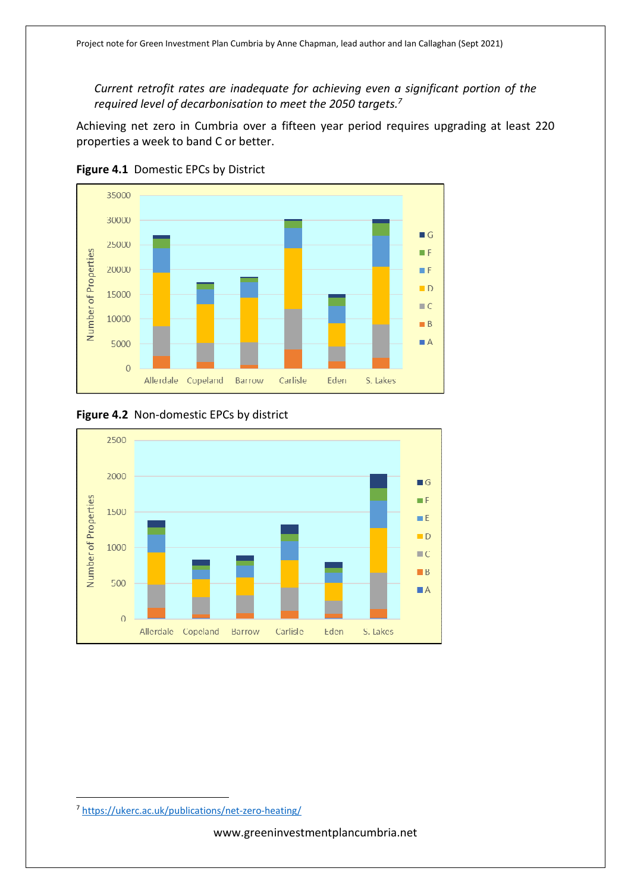*Current retrofit rates are inadequate for achieving even a significant portion of the required level of decarbonisation to meet the 2050 targets.<sup>7</sup>*

Achieving net zero in Cumbria over a fifteen year period requires upgrading at least 220 properties a week to band C or better.



**Figure 4.1** Domestic EPCs by District





<sup>7</sup> https://ukerc.ac.uk/publications/net-zero-heating/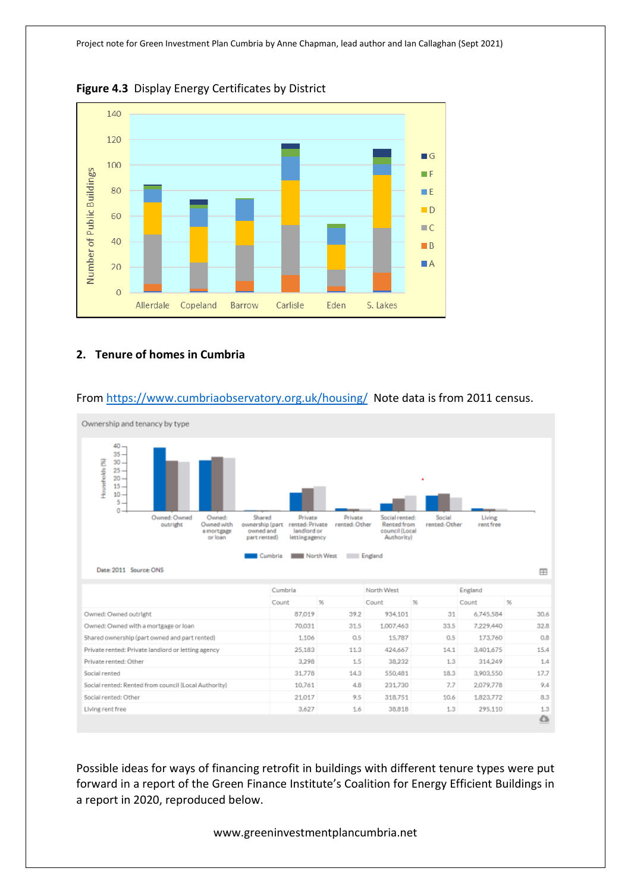

**Figure 4.3** Display Energy Certificates by District

### **2. Tenure of homes in Cumbria**



### From https://www.cumbriaobservatory.org.uk/housing/ Note data is from 2011 census.

Possible ideas for ways of financing retrofit in buildings with different tenure types were put forward in a report of the Green Finance Institute's Coalition for Energy Efficient Buildings in a report in 2020, reproduced below.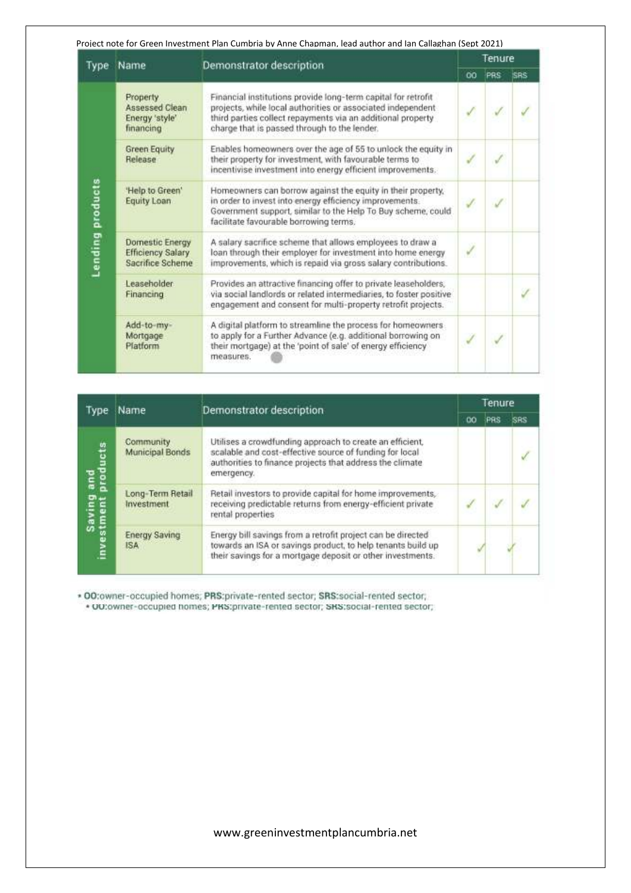Project note for Green Investment Plan Cumbria by Anne Chapman, lead author and Ian Callaghan (Sept 2021)

| Type             | Name                                                                   | Demonstrator description                                                                                                                                                                                                                    |    | Tenure |             |
|------------------|------------------------------------------------------------------------|---------------------------------------------------------------------------------------------------------------------------------------------------------------------------------------------------------------------------------------------|----|--------|-------------|
|                  |                                                                        |                                                                                                                                                                                                                                             | 00 | PRS    | <b>ISRS</b> |
|                  | Property<br>Assessed Clean<br>Energy 'style'<br>financing              | Financial institutions provide long-term capital for retrofit<br>projects, while local authorities or associated independent<br>third parties collect repayments via an additional property<br>charge that is passed through to the lender. |    |        |             |
|                  | <b>Green Equity</b><br>Release                                         | Enables homeowners over the age of 55 to unlock the equity in<br>their property for investment, with favourable terms to<br>incentivise investment into energy efficient improvements.                                                      |    |        |             |
| Lending products | 'Help to Green'<br>Equity Loan                                         | Homeowners can borrow against the equity in their property,<br>in order to invest into energy efficiency improvements.<br>Government support, similar to the Help To Buy scheme, could<br>facilitate favourable borrowing terms.            |    |        |             |
|                  | <b>Domestic Energy</b><br><b>Efficiency Salary</b><br>Sacrifice Scheme | A salary sacrifice scheme that allows employees to draw a<br>loan through their employer for investment into home energy<br>improvements, which is repaid via gross salary contributions.                                                   | ¥  |        |             |
|                  | Leaseholder<br>Financing                                               | Provides an attractive financing offer to private leaseholders,<br>via social landlords or related intermediaries, to foster positive<br>engagement and consent for multi-property retrofit projects.                                       |    |        |             |
|                  | Add-to-my-<br>Mortgage<br>Platform                                     | A digital platform to streamline the process for homeowners<br>to apply for a Further Advance (e.g. additional borrowing on<br>their mortgage) at the 'point of sale' of energy efficiency<br>measures.                                     |    |        |             |

| <b>Type</b>                       | Name                               | Demonstrator description                                                                                                                                                                      |    | Tenure |     |
|-----------------------------------|------------------------------------|-----------------------------------------------------------------------------------------------------------------------------------------------------------------------------------------------|----|--------|-----|
|                                   |                                    |                                                                                                                                                                                               | ŐÕ | PRS    | SRS |
|                                   | Community<br>Municipal Bonds       | Utilises a crowdfunding approach to create an efficient,<br>scalable and cost-effective source of funding for local<br>authorities to finance projects that address the climate<br>emergency. |    |        |     |
| Saving and<br>investment products | Long-Term Retail<br>Investment     | Retail investors to provide capital for home improvements,<br>receiving predictable returns from energy-efficient private<br>rental properties                                                |    |        |     |
|                                   | <b>Energy Saving</b><br><b>ISA</b> | Energy bill savings from a retrofit project can be directed<br>towards an ISA or savings product, to help tenants build up<br>their savings for a mortgage deposit or other investments.      |    |        |     |

\* 00:owner-occupied homes; PRS:private-rented sector; SRS:social-rented sector; \* 00:owner-occupied nomes; PRS:private-rented sector; SRS:social-rented sector;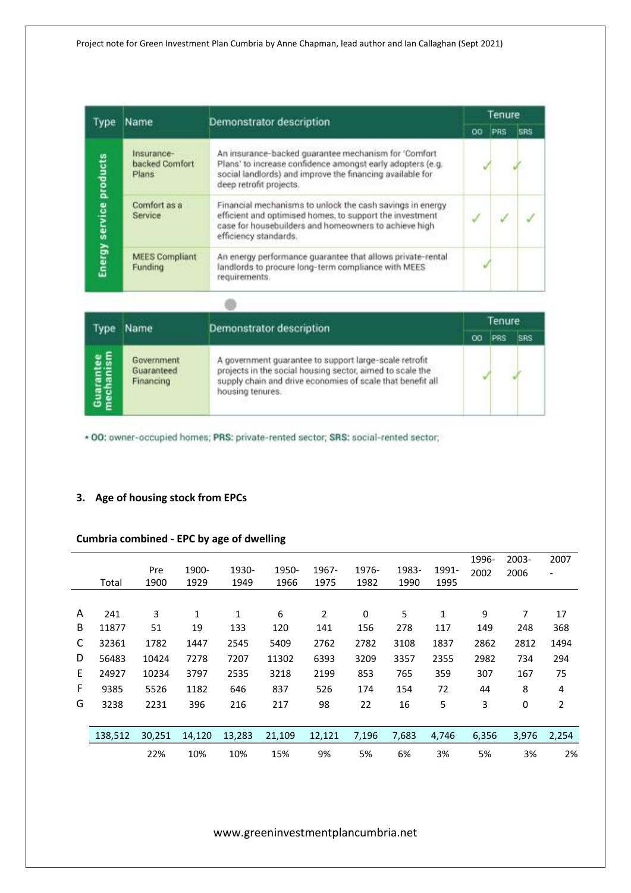| Type                    | Name                                  | Demonstrator description                                                                                                                                                                                   | Tenure |            |            |  |  |  |
|-------------------------|---------------------------------------|------------------------------------------------------------------------------------------------------------------------------------------------------------------------------------------------------------|--------|------------|------------|--|--|--|
|                         |                                       |                                                                                                                                                                                                            | oo     | <b>PRS</b> | <b>SBS</b> |  |  |  |
|                         | Insurance-<br>backed Comfort<br>Plans | An insurance-backed guarantee mechanism for 'Comfort<br>Plans' to increase confidence amongst early adopters (e.g.<br>social landlords) and improve the financing available for<br>deep retrofit projects. |        |            |            |  |  |  |
| Energy service products | Comfort as a<br>Service               | Financial mechanisms to unlock the cash savings in energy<br>efficient and optimised homes, to support the investment<br>case for housebuilders and homeowners to achieve high<br>efficiency standards.    |        |            |            |  |  |  |
|                         | <b>MEES Compliant</b><br>Funding      | An energy performance guarantee that allows private-rental<br>landlords to procure long-term compliance with MEES<br>requirements.                                                                         |        |            |            |  |  |  |

| Type                   | Name                                  | Demonstrator description                                                                                                                                                                              |    | Tenure |            |
|------------------------|---------------------------------------|-------------------------------------------------------------------------------------------------------------------------------------------------------------------------------------------------------|----|--------|------------|
|                        |                                       |                                                                                                                                                                                                       | oo | PRS    | <b>SRS</b> |
| Guarantee<br>mechanism | Government<br>Guaranteed<br>Financing | A government guarantee to support large-scale retrofit<br>projects in the social housing sector, aimed to scale the<br>supply chain and drive economies of scale that benefit all<br>housing tenures. |    |        |            |

\* 00: owner-occupied homes; PRS: private-rented sector; SRS: social-rented sector;

# **3. Age of housing stock from EPCs**

# **Cumbria combined - EPC by age of dwelling**

|    |         |        |        |        |        |                |       |       |              | 1996- | 2003- | 2007                     |
|----|---------|--------|--------|--------|--------|----------------|-------|-------|--------------|-------|-------|--------------------------|
|    |         | Pre    | 1900-  | 1930-  | 1950-  | 1967-          | 1976- | 1983- | 1991-        | 2002  | 2006  | $\overline{\phantom{0}}$ |
|    | Total   | 1900   | 1929   | 1949   | 1966   | 1975           | 1982  | 1990  | 1995         |       |       |                          |
|    |         |        |        |        |        |                |       |       |              |       |       |                          |
| A  | 241     | 3      | 1      | 1      | 6      | $\overline{2}$ | 0     | 5     | $\mathbf{1}$ | 9     | 7     | 17                       |
| В  | 11877   | 51     | 19     | 133    | 120    | 141            | 156   | 278   | 117          | 149   | 248   | 368                      |
| C  | 32361   | 1782   | 1447   | 2545   | 5409   | 2762           | 2782  | 3108  | 1837         | 2862  | 2812  | 1494                     |
| D  | 56483   | 10424  | 7278   | 7207   | 11302  | 6393           | 3209  | 3357  | 2355         | 2982  | 734   | 294                      |
| E. | 24927   | 10234  | 3797   | 2535   | 3218   | 2199           | 853   | 765   | 359          | 307   | 167   | 75                       |
| F  | 9385    | 5526   | 1182   | 646    | 837    | 526            | 174   | 154   | 72           | 44    | 8     | 4                        |
| G  | 3238    | 2231   | 396    | 216    | 217    | 98             | 22    | 16    | 5            | 3     | 0     | 2                        |
|    |         |        |        |        |        |                |       |       |              |       |       |                          |
|    | 138,512 | 30,251 | 14,120 | 13,283 | 21,109 | 12,121         | 7,196 | 7,683 | 4,746        | 6,356 | 3,976 | 2,254                    |
|    |         | 22%    | 10%    | 10%    | 15%    | 9%             | 5%    | 6%    | 3%           | 5%    | 3%    | 2%                       |